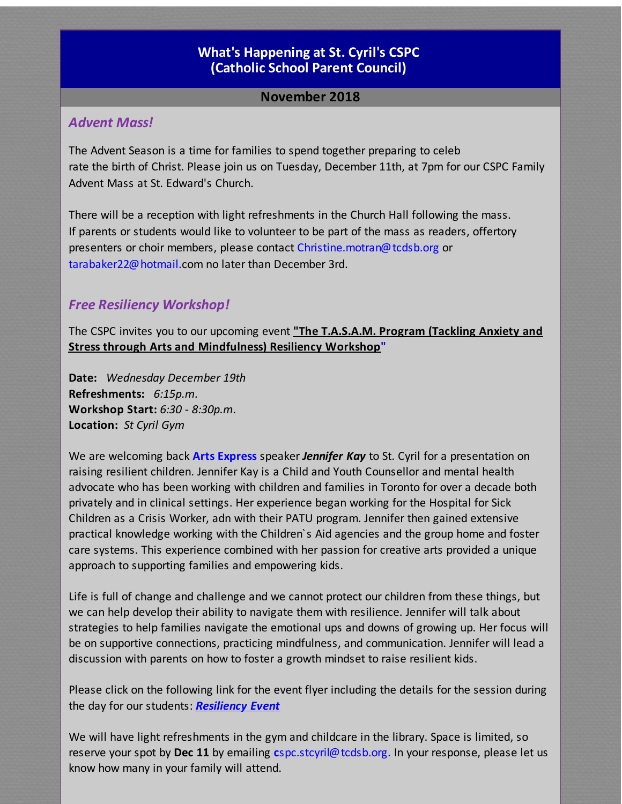#### **What's [Happening](http://r20.rs6.net/tn.jsp?f=0019T_Gy-MydDW5L_4Ubz4zgzRPtYxlOg_6XnkE28AnvVKa0YXIN7nJ5SVvabKPT2zwgPzg_CSnmnBkJqhesV3itsMBrqu12yhSAlp4nMbOMce7cke3adWgpR8BGy-nc4unThtf9J3sffXFbDLySFjhn7T7RkOHEjArnj7_3f4zh6o=&c=&ch=) at St. Cyril's CSPC [\(Catholic](http://r20.rs6.net/tn.jsp?f=0019T_Gy-MydDW5L_4Ubz4zgzRPtYxlOg_6XnkE28AnvVKa0YXIN7nJ5SVvabKPT2zwgPzg_CSnmnBkJqhesV3itsMBrqu12yhSAlp4nMbOMce7cke3adWgpR8BGy-nc4unThtf9J3sffXFbDLySFjhn7T7RkOHEjArnj7_3f4zh6o=&c=&ch=) School Parent Council)**

## **November 2018**

#### *Advent Mass!*

The Advent Season is a time for families to spend together preparing to celeb rate the birth of Christ. Please join us on Tuesday, December 11th, at 7pm for our CSPC Family Advent Mass at St. Edward's Church.

There will be a reception with light refreshments in the Church Hall following the mass. If parents or students would like to volunteer to be part of the mass as readers, offertory presenters or choir members, please contact Christine.motran@tcdsb.org or tarabaker22@hotmail.com no later than December 3rd.

#### *Free Resiliency Workshop!*

The CSPC invites you to our upcoming event **"The T.A.S.A.M. Program (Tackling Anxiety and Stress through Arts and Mindfulness) Resiliency Workshop"**

**Date:** *Wednesday December 19th* **Refreshments:** *6:15p.m.* **Workshop Start:** *6:30 - 8:30p.m.* **Location:** *St Cyril Gym*

We are welcoming back **Arts Express** speaker *Jennifer Kay* to St. Cyril for a presentation on raising resilient children. Jennifer Kay is a Child and Youth Counsellor and mental health advocate who has been working with children and families in Toronto for over a decade both privately and in clinical settings. Her experience began working for the Hospital for Sick Children as a Crisis Worker, adn with their PATU program. Jennifer then gained extensive practical knowledge working with the Children`s Aid agencies and the group home and foster care systems. This experience combined with her passion for creative arts provided a unique approach to supporting families and empowering kids.

Life is full of change and challenge and we cannot protect our children from these things, but we can help develop their ability to navigate them with resilience. Jennifer will talk about strategies to help families navigate the emotional ups and downs of growing up. Her focus will be on supportive connections, practicing mindfulness, and communication. Jennifer will lead a discussion with parents on how to foster a growth mindset to raise resilient kids.

Please click on the following link for the event flyer including the details for the session during the day for our students: *[Resiliency](http://r20.rs6.net/tn.jsp?f=0019T_Gy-MydDW5L_4Ubz4zgzRPtYxlOg_6XnkE28AnvVKa0YXIN7nJ5RLUWuFsTMW5SanAHXAzBojvpzwJ5FXJb_ejiZhcOm2Zayk3v56Jkx4ZY3WTry03rtrRT2dYLKHpNvDJf2rXWcsROokb9f459Qv8KWqa3_8NNwJke0YAwkM2hEl6IBGsfofH8HfE2DqosNUcTKBDUMSEmPuhHzEatxOtJDz2WrsvxcW2yls-2lkRblDCiiaDmnzWvvMlT8mS&c=&ch=) Event*

We will have light refreshments in the gym and childcare in the library. Space is limited, so reserve your spot by **Dec 11** by emailing **c**spc.stcyril@tcdsb.org. In your response, please let us know how many in your family will attend.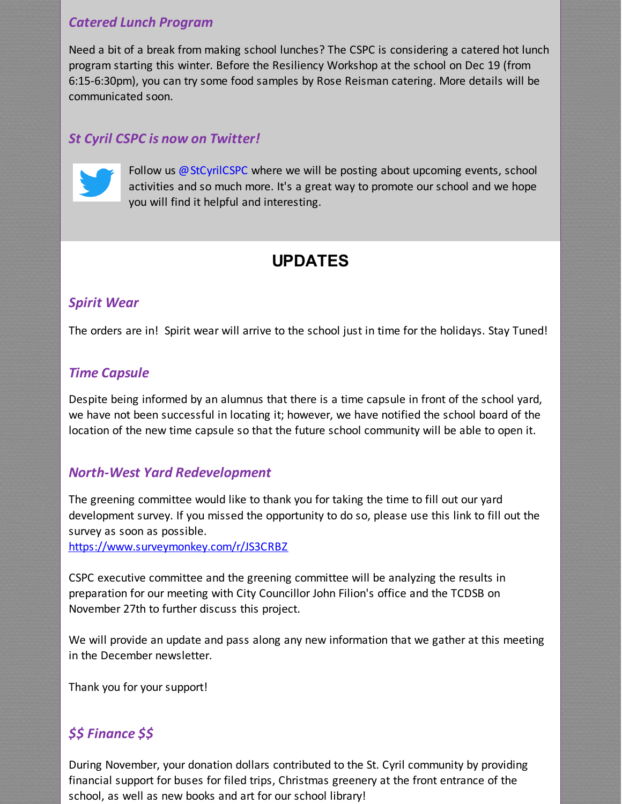## *Catered Lunch Program*

Need a bit of a break from making school lunches? The CSPC is considering a catered hot lunch program starting this winter. Before the Resiliency Workshop at the school on Dec 19 (from 6:15-6:30pm), you can try some food samples by Rose Reisman catering. More details will be communicated soon.

## *St Cyril CSPC is now on Twitter!*



Follow us @StCyrilCSPC where we will be posting about upcoming events, school activities and so much more. It's a great way to promote our school and we hope you will find it helpful and interesting.

# **UPDATES**

## *Spirit Wear*

The orders are in! Spirit wear will arrive to the school just in time for the holidays. Stay Tuned!

#### *Time Capsule*

Despite being informed by an alumnus that there is a time capsule in front of the school yard, we have not been successful in locating it; however, we have notified the school board of the location of the new time capsule so that the future school community will be able to open it.

## *North-West Yard Redevelopment*

The greening committee would like to thank you for taking the time to fill out our yard development survey. If you missed the opportunity to do so, please use this link to fill out the survey as soon as possible.

[https://www.surveymonkey.com/r/JS3CRBZ](http://r20.rs6.net/tn.jsp?f=0019T_Gy-MydDW5L_4Ubz4zgzRPtYxlOg_6XnkE28AnvVKa0YXIN7nJ5RLUWuFsTMW5DVtesMVu8Ub3XO82TVWHdL6jVuuxC9h_bjocvM8uYFK7knsyw3O2v4hehUp_kjj38GCkAQ-dbuHhAG3ZzLWmVAvljDRqlFfE_f18WPRzio95E082QqpLz6evXcH6iXBN&c=&ch=)

CSPC executive committee and the greening committee will be analyzing the results in preparation for our meeting with City Councillor John Filion's office and the TCDSB on November 27th to further discuss this project.

We will provide an update and pass along any new information that we gather at this meeting in the December newsletter.

Thank you for your support!

## *\$\$ Finance \$\$*

During November, your donation dollars contributed to the St. Cyril community by providing financial support for buses for filed trips, Christmas greenery at the front entrance of the school, as well as new books and art for our school library!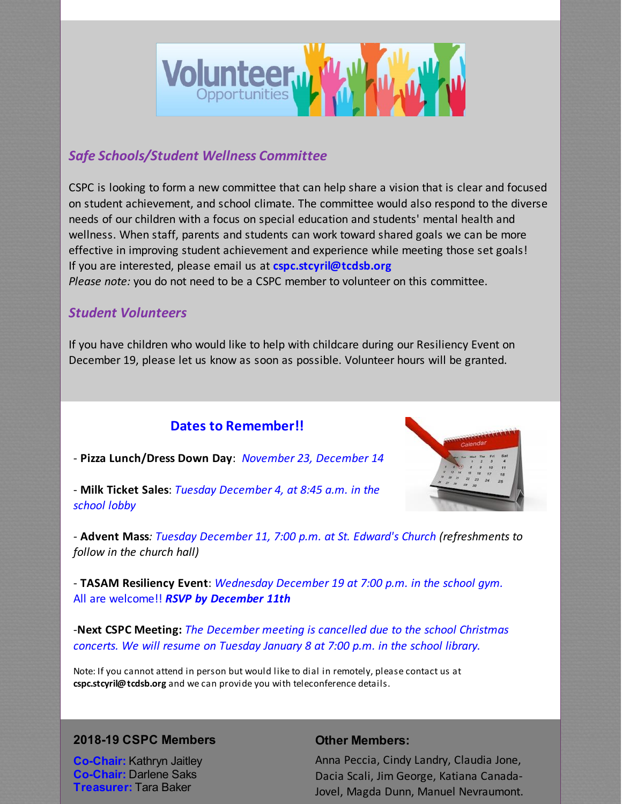

## *Safe Schools/Student Wellness Committee*

CSPC is looking to form a new committee that can help share a vision that is clear and focused on student achievement, and school climate. The committee would also respond to the diverse needs of our children with a focus on special education and students' mental health and wellness. When staff, parents and students can work toward shared goals we can be more effective in improving student achievement and experience while meeting those set goals! If you are interested, please email us at **cspc.stcyril@tcdsb.org** *Please note:* you do not need to be a CSPC member to volunteer on this committee.

#### *Student Volunteers*

If you have children who would like to help with childcare during our Resiliency Event on December 19, please let us know as soon as possible. Volunteer hours will be granted.

## **Dates to Remember!!**



- **Pizza Lunch/Dress Down Day**: *November 23, December 14*

- **Milk Ticket Sales**: *Tuesday December 4, at 8:45 a.m. in the school lobby*

*-* **Advent Mass***: Tuesday December 11, 7:00 p.m. at St. Edward's Church (refreshments to follow in the church hall)*

- **TASAM Resiliency Event**: *Wednesday December 19 at 7:00 p.m. in the school gym.* All are welcome!! *RSVP by December 11th*

-**Next CSPC Meeting:** *The December meeting is cancelled due to the school Christmas concerts. We will resume on Tuesday January 8 at 7:00 p.m. in the school library.*

Note: If you cannot attend in person but would like to dial in remotely, please contact us at **cspc.stcyril@tcdsb.org** and we can provide you with teleconference details.

#### **2018-19 CSPC Members**

**Co-Chair:** Kathryn Jaitley **Co-Chair:** Darlene Saks **Treasurer:** Tara Baker

#### **Other Members:**

Anna Peccia, Cindy Landry, Claudia Jone, Dacia Scali, Jim George, Katiana Canada-Jovel, Magda Dunn, Manuel Nevraumont.